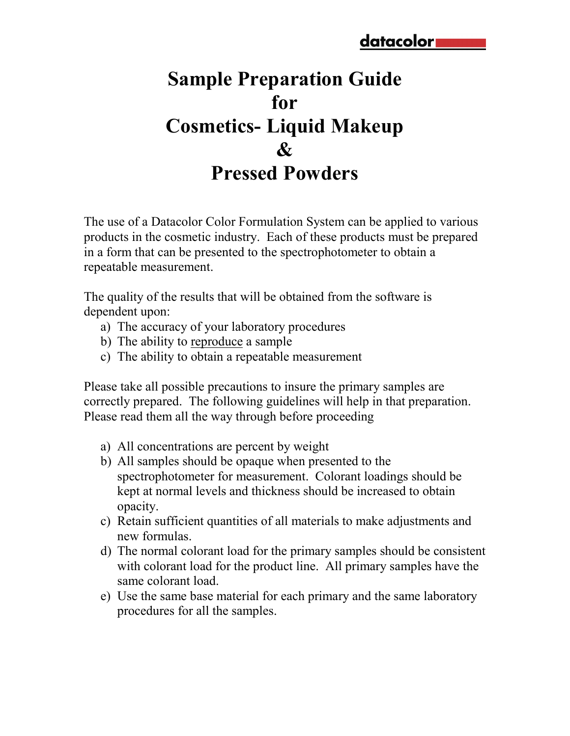# **Sample Preparation Guide for Cosmetics- Liquid Makeup**   $\mathcal{X}$ **Pressed Powders**

The use of a Datacolor Color Formulation System can be applied to various products in the cosmetic industry. Each of these products must be prepared in a form that can be presented to the spectrophotometer to obtain a repeatable measurement.

The quality of the results that will be obtained from the software is dependent upon:

- a) The accuracy of your laboratory procedures
- b) The ability to reproduce a sample
- c) The ability to obtain a repeatable measurement

Please take all possible precautions to insure the primary samples are correctly prepared. The following guidelines will help in that preparation. Please read them all the way through before proceeding

- a) All concentrations are percent by weight
- b) All samples should be opaque when presented to the spectrophotometer for measurement. Colorant loadings should be kept at normal levels and thickness should be increased to obtain opacity.
- c) Retain sufficient quantities of all materials to make adjustments and new formulas.
- d) The normal colorant load for the primary samples should be consistent with colorant load for the product line. All primary samples have the same colorant load.
- e) Use the same base material for each primary and the same laboratory procedures for all the samples.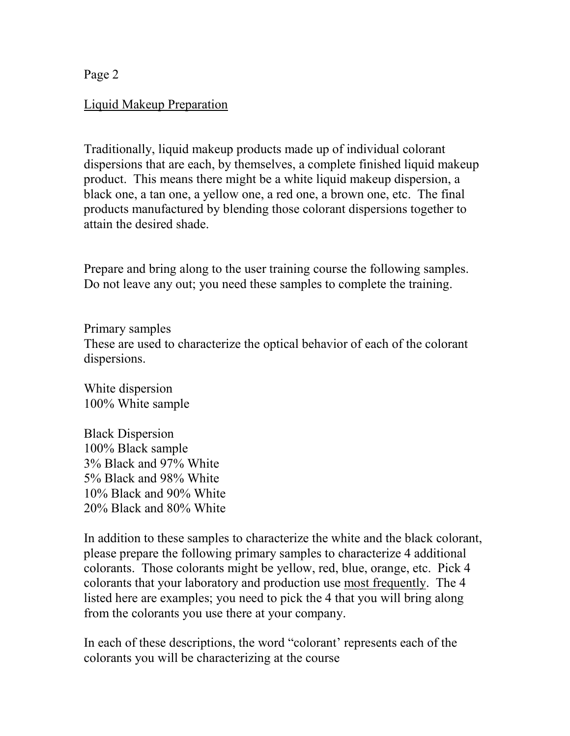Page 2

#### Liquid Makeup Preparation

Traditionally, liquid makeup products made up of individual colorant dispersions that are each, by themselves, a complete finished liquid makeup product. This means there might be a white liquid makeup dispersion, a black one, a tan one, a yellow one, a red one, a brown one, etc. The final products manufactured by blending those colorant dispersions together to attain the desired shade.

Prepare and bring along to the user training course the following samples. Do not leave any out; you need these samples to complete the training.

Primary samples These are used to characterize the optical behavior of each of the colorant dispersions.

White dispersion 100% White sample

Black Dispersion 100% Black sample 3% Black and 97% White 5% Black and 98% White 10% Black and 90% White 20% Black and 80% White

In addition to these samples to characterize the white and the black colorant, please prepare the following primary samples to characterize 4 additional colorants. Those colorants might be yellow, red, blue, orange, etc. Pick 4 colorants that your laboratory and production use most frequently. The 4 listed here are examples; you need to pick the 4 that you will bring along from the colorants you use there at your company.

In each of these descriptions, the word "colorant' represents each of the colorants you will be characterizing at the course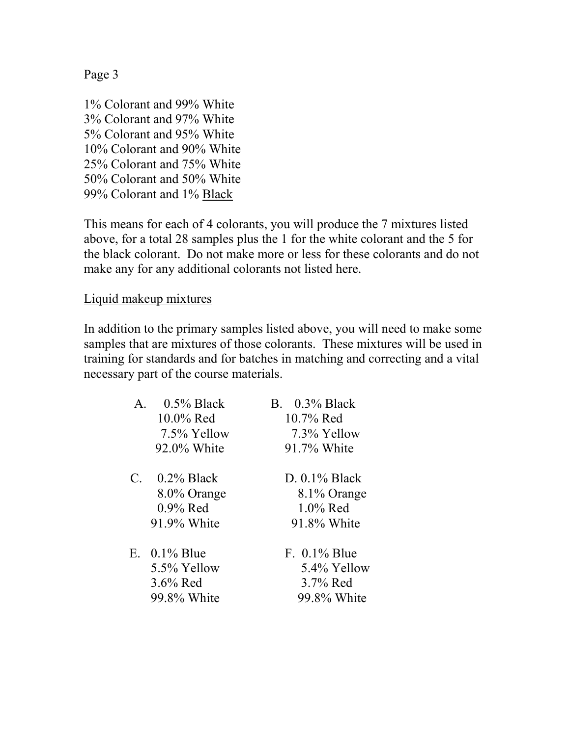Page 3

1% Colorant and 99% White 3% Colorant and 97% White 5% Colorant and 95% White 10% Colorant and 90% White 25% Colorant and 75% White 50% Colorant and 50% White 99% Colorant and 1% Black

This means for each of 4 colorants, you will produce the 7 mixtures listed above, for a total 28 samples plus the 1 for the white colorant and the 5 for the black colorant. Do not make more or less for these colorants and do not make any for any additional colorants not listed here.

Liquid makeup mixtures

In addition to the primary samples listed above, you will need to make some samples that are mixtures of those colorants. These mixtures will be used in training for standards and for batches in matching and correcting and a vital necessary part of the course materials.

| $0.5\%$ Black<br>$\mathsf{A}$ .<br>10.0% Red<br>7.5% Yellow<br>92.0% White | <b>B.</b> 0.3% Black<br>$10.7\%$ Red<br>7.3% Yellow<br>91.7% White |
|----------------------------------------------------------------------------|--------------------------------------------------------------------|
| $0.2\%$ Black<br>$C_{\cdot}$<br>8.0% Orange<br>$0.9\%$ Red<br>91.9% White  | $D. 0.1\%$ Black<br>8.1% Orange<br>$1.0\%$ Red<br>91.8% White      |
| E. $0.1\%$ Blue<br>5.5% Yellow<br>$3.6\%$ Red<br>99.8% White               | $F. 0.1\%$ Blue<br>5.4% Yellow<br>3.7% Red<br>99.8% White          |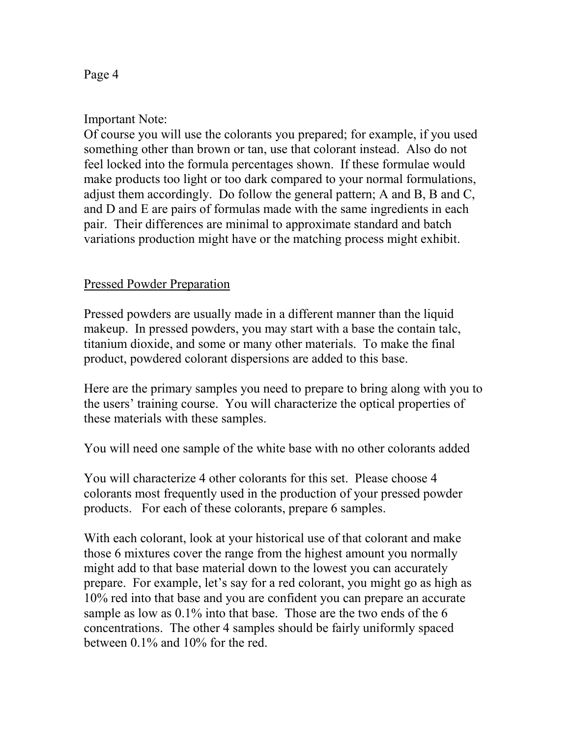# Important Note:

Of course you will use the colorants you prepared; for example, if you used something other than brown or tan, use that colorant instead. Also do not feel locked into the formula percentages shown. If these formulae would make products too light or too dark compared to your normal formulations, adjust them accordingly. Do follow the general pattern; A and B, B and C, and D and E are pairs of formulas made with the same ingredients in each pair. Their differences are minimal to approximate standard and batch variations production might have or the matching process might exhibit.

## Pressed Powder Preparation

Pressed powders are usually made in a different manner than the liquid makeup. In pressed powders, you may start with a base the contain talc, titanium dioxide, and some or many other materials. To make the final product, powdered colorant dispersions are added to this base.

Here are the primary samples you need to prepare to bring along with you to the users' training course. You will characterize the optical properties of these materials with these samples.

You will need one sample of the white base with no other colorants added

You will characterize 4 other colorants for this set. Please choose 4 colorants most frequently used in the production of your pressed powder products. For each of these colorants, prepare 6 samples.

With each colorant, look at your historical use of that colorant and make those 6 mixtures cover the range from the highest amount you normally might add to that base material down to the lowest you can accurately prepare. For example, let's say for a red colorant, you might go as high as 10% red into that base and you are confident you can prepare an accurate sample as low as  $0.1\%$  into that base. Those are the two ends of the 6 concentrations. The other 4 samples should be fairly uniformly spaced between 0.1% and 10% for the red.

#### Page 4